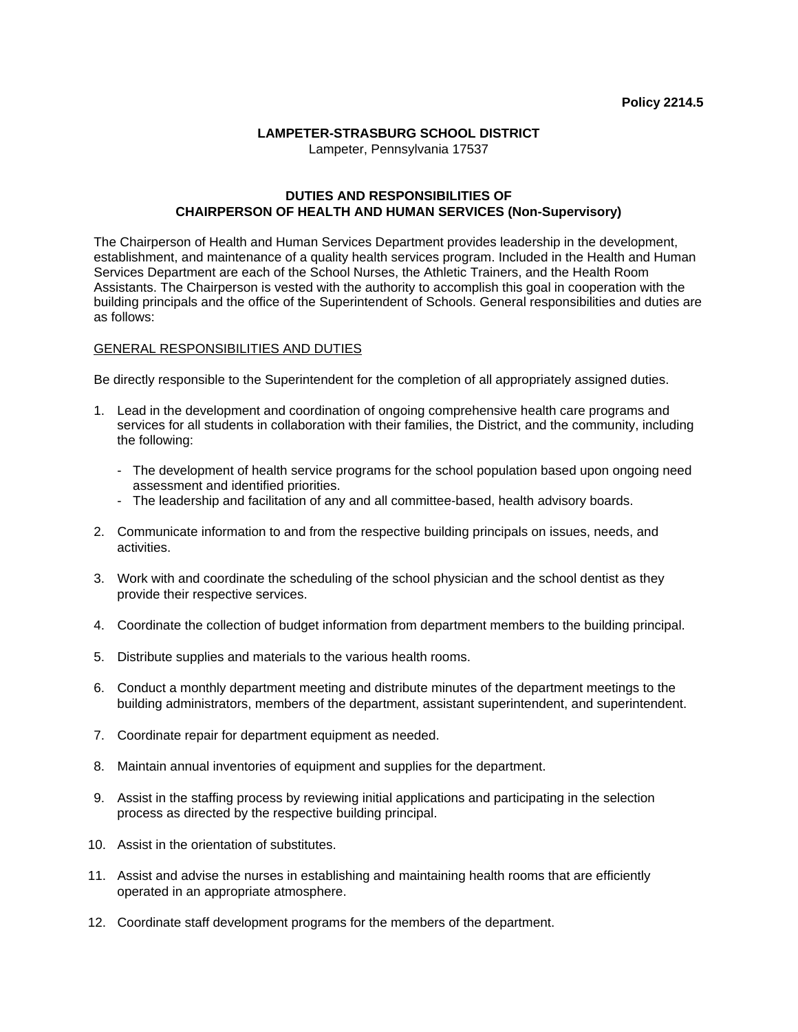## **LAMPETER-STRASBURG SCHOOL DISTRICT**

Lampeter, Pennsylvania 17537

## **DUTIES AND RESPONSIBILITIES OF CHAIRPERSON OF HEALTH AND HUMAN SERVICES (Non-Supervisory)**

The Chairperson of Health and Human Services Department provides leadership in the development, establishment, and maintenance of a quality health services program. Included in the Health and Human Services Department are each of the School Nurses, the Athletic Trainers, and the Health Room Assistants. The Chairperson is vested with the authority to accomplish this goal in cooperation with the building principals and the office of the Superintendent of Schools. General responsibilities and duties are as follows:

## GENERAL RESPONSIBILITIES AND DUTIES

Be directly responsible to the Superintendent for the completion of all appropriately assigned duties.

- 1. Lead in the development and coordination of ongoing comprehensive health care programs and services for all students in collaboration with their families, the District, and the community, including the following:
	- The development of health service programs for the school population based upon ongoing need assessment and identified priorities.
	- The leadership and facilitation of any and all committee-based, health advisory boards.
- 2. Communicate information to and from the respective building principals on issues, needs, and activities.
- 3. Work with and coordinate the scheduling of the school physician and the school dentist as they provide their respective services.
- 4. Coordinate the collection of budget information from department members to the building principal.
- 5. Distribute supplies and materials to the various health rooms.
- 6. Conduct a monthly department meeting and distribute minutes of the department meetings to the building administrators, members of the department, assistant superintendent, and superintendent.
- 7. Coordinate repair for department equipment as needed.
- 8. Maintain annual inventories of equipment and supplies for the department.
- 9. Assist in the staffing process by reviewing initial applications and participating in the selection process as directed by the respective building principal.
- 10. Assist in the orientation of substitutes.
- 11. Assist and advise the nurses in establishing and maintaining health rooms that are efficiently operated in an appropriate atmosphere.
- 12. Coordinate staff development programs for the members of the department.